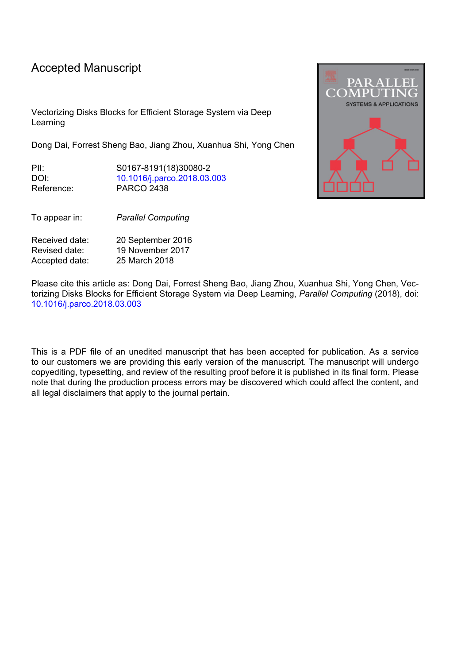# Accepted Manuscript

Vectorizing Disks Blocks for Efficient Storage System via Deep Learning

Dong Dai, Forrest Sheng Bao, Jiang Zhou, Xuanhua Shi, Yong Chen

PII: S0167-8191(18)30080-2 DOI: [10.1016/j.parco.2018.03.003](https://doi.org/10.1016/j.parco.2018.03.003) Reference: PARCO 2438

To appear in: *Parallel Computing*

| Received date: | 20 September 2016 |
|----------------|-------------------|
| Revised date:  | 19 November 2017  |
| Accepted date: | 25 March 2018     |

Please cite this article as: Dong Dai, Forrest Sheng Bao, Jiang Zhou, Xuanhua Shi, Yong Chen, Vectorizing Disks Blocks for Efficient Storage System via Deep Learning, *Parallel Computing* (2018), doi: [10.1016/j.parco.2018.03.003](https://doi.org/10.1016/j.parco.2018.03.003)

This is a PDF file of an unedited manuscript that has been accepted for publication. As a service to our customers we are providing this early version of the manuscript. The manuscript will undergo copyediting, typesetting, and review of the resulting proof before it is published in its final form. Please note that during the production process errors may be discovered which could affect the content, and all legal disclaimers that apply to the journal pertain.

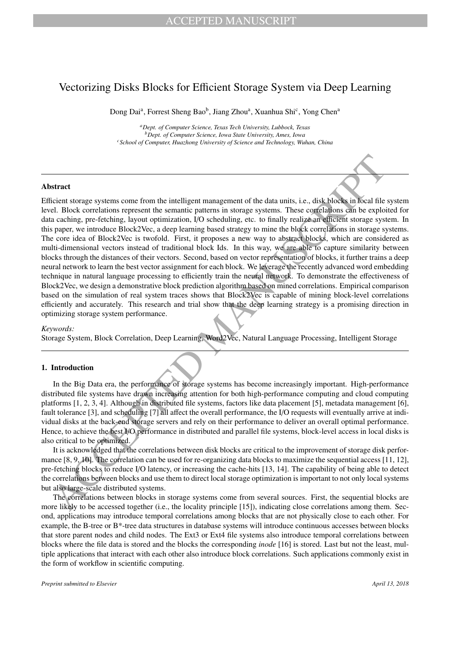# Vectorizing Disks Blocks for Efficient Storage System via Deep Learning

Dong Dai<sup>a</sup>, Forrest Sheng Bao<sup>b</sup>, Jiang Zhou<sup>a</sup>, Xuanhua Shi<sup>c</sup>, Yong Chen<sup>a</sup>

*<sup>a</sup>Dept. of Computer Science, Texas Tech University, Lubbock, Texas <sup>b</sup>Dept. of Computer Science, Iowa State University, Ames, Iowa <sup>c</sup>School of Computer, Huazhong University of Science and Technology, Wuhan, China*

### **Abstract**

**Estate**<br> **Stract**<br>
declent storage systems come from the intelligent management of the data units, i.e., disk blocks in bocal hite.<br>
All Block correlations represent the semantic patterns in storage systems. These confusi Efficient storage systems come from the intelligent management of the data units, i.e., disk blocks in local file system level. Block correlations represent the semantic patterns in storage systems. These correlations can be exploited for data caching, pre-fetching, layout optimization, I/O scheduling, etc. to finally realize an efficient storage system. In this paper, we introduce Block2Vec, a deep learning based strategy to mine the block correlations in storage systems. The core idea of Block2Vec is twofold. First, it proposes a new way to abstract blocks, which are considered as multi-dimensional vectors instead of traditional block Ids. In this way, we are able to capture similarity between blocks through the distances of their vectors. Second, based on vector representation of blocks, it further trains a deep neural network to learn the best vector assignment for each block. We leverage the recently advanced word embedding technique in natural language processing to efficiently train the neural network. To demonstrate the effectiveness of Block2Vec, we design a demonstrative block prediction algorithm based on mined correlations. Empirical comparison based on the simulation of real system traces shows that Block2Vec is capable of mining block-level correlations efficiently and accurately. This research and trial show that the deep learning strategy is a promising direction in optimizing storage system performance.

#### *Keywords:*

Storage System, Block Correlation, Deep Learning, Word2Vec, Natural Language Processing, Intelligent Storage

#### **1. Introduction**

In the Big Data era, the performance of storage systems has become increasingly important. High-performance distributed file systems have drawn increasing attention for both high-performance computing and cloud computing platforms [1, 2, 3, 4]. Although in distributed file systems, factors like data placement [5], metadata management [6], fault tolerance [3], and scheduling [7] all affect the overall performance, the I/O requests will eventually arrive at individual disks at the back-end storage servers and rely on their performance to deliver an overall optimal performance. Hence, to achieve the best I/O performance in distributed and parallel file systems, block-level access in local disks is also critical to be optimized.

It is acknowledged that the correlations between disk blocks are critical to the improvement of storage disk performance [8, 9, 10]. The correlation can be used for re-organizing data blocks to maximize the sequential access [11, 12], pre-fetching blocks to reduce I/O latency, or increasing the cache-hits [13, 14]. The capability of being able to detect the correlations between blocks and use them to direct local storage optimization is important to not only local systems but also large-scale distributed systems.

The correlations between blocks in storage systems come from several sources. First, the sequential blocks are more likely to be accessed together (i.e., the locality principle [15]), indicating close correlations among them. Second, applications may introduce temporal correlations among blocks that are not physically close to each other. For example, the B-tree or B\*-tree data structures in database systems will introduce continuous accesses between blocks that store parent nodes and child nodes. The Ext3 or Ext4 file systems also introduce temporal correlations between blocks where the file data is stored and the blocks the corresponding *inode* [16] is stored. Last but not the least, multiple applications that interact with each other also introduce block correlations. Such applications commonly exist in the form of workflow in scientific computing.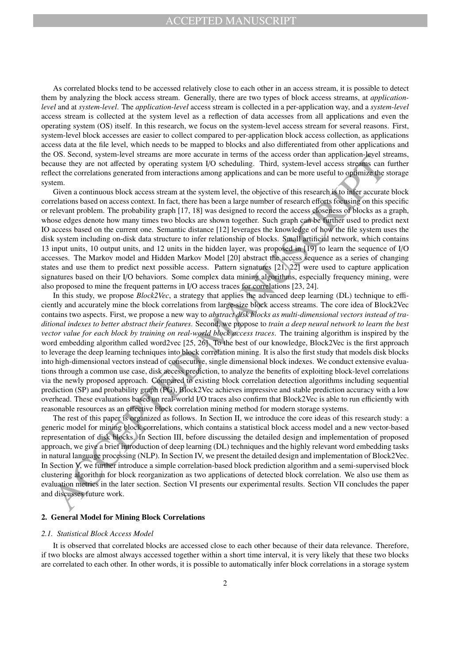# ACCEPTED MANUSCRIPT

As correlated blocks tend to be accessed relatively close to each other in an access stream, it is possible to detect them by analyzing the block access stream. Generally, there are two types of block access streams, at *applicationlevel* and at *system-level*. The *application-level* access stream is collected in a per-application way, and a *system-level* access stream is collected at the system level as a reflection of data accesses from all applications and even the operating system (OS) itself. In this research, we focus on the system-level access stream for several reasons. First, system-level block accesses are easier to collect compared to per-application block access collection, as applications access data at the file level, which needs to be mapped to blocks and also differentiated from other applications and the OS. Second, system-level streams are more accurate in terms of the access order than application-level streams, because they are not affected by operating system I/O scheduling. Third, system-level access streams can further reflect the correlations generated from interactions among applications and can be more useful to optimize the storage system.

Given a continuous block access stream at the system level, the objective of this research is to infer accurate block correlations based on access context. In fact, there has been a large number of research efforts focusing on this specific or relevant problem. The probability graph [17, 18] was designed to record the access closeness of blocks as a graph, whose edges denote how many times two blocks are shown together. Such graph can be further used to predict next IO access based on the current one. Semantic distance [12] leverages the knowledge of how the file system uses the disk system including on-disk data structure to infer relationship of blocks. Small artificial network, which contains 13 input units, 10 output units, and 12 units in the hidden layer, was proposed in [19] to learn the sequence of I/O accesses. The Markov model and Hidden Markov Model [20] abstract the access sequence as a series of changing states and use them to predict next possible access. Pattern signatures [21, 22] were used to capture application signatures based on their I/O behaviors. Some complex data mining algorithms, especially frequency mining, were also proposed to mine the frequent patterns in I/O access traces for correlations [23, 24].

OS. Second, system/seve streams are none accelerate in terms on us access other than applications and the second streams they are not affected by operating system. Ic) detecting, Third, system-level access streams can<br>ten In this study, we propose *Block2Vec*, a strategy that applies the advanced deep learning (DL) technique to efficiently and accurately mine the block correlations from large-size block access streams. The core idea of Block2Vec contains two aspects. First, we propose a new way to *abstract disk blocks as multi-dimensional vectors instead of traditional indexes to better abstract their features*. Second, we propose to *train a deep neural network to learn the best vector value for each block by training on real-world block access traces*. The training algorithm is inspired by the word embedding algorithm called word2vec [25, 26]. To the best of our knowledge, Block2Vec is the first approach to leverage the deep learning techniques into block correlation mining. It is also the first study that models disk blocks into high-dimensional vectors instead of consecutive, single dimensional block indexes. We conduct extensive evaluations through a common use case, disk access prediction, to analyze the benefits of exploiting block-level correlations via the newly proposed approach. Compared to existing block correlation detection algorithms including sequential prediction (SP) and probability graph (PG), Block2Vec achieves impressive and stable prediction accuracy with a low overhead. These evaluations based on real-world I/O traces also confirm that Block2Vec is able to run efficiently with reasonable resources as an effective block correlation mining method for modern storage systems.

The rest of this paper is organized as follows. In Section II, we introduce the core ideas of this research study: a generic model for mining block correlations, which contains a statistical block access model and a new vector-based representation of disk blocks. In Section III, before discussing the detailed design and implementation of proposed approach, we give a brief introduction of deep learning (DL) techniques and the highly relevant word embedding tasks in natural language processing (NLP). In Section IV, we present the detailed design and implementation of Block2Vec. In Section V, we further introduce a simple correlation-based block prediction algorithm and a semi-supervised block clustering algorithm for block reorganization as two applications of detected block correlation. We also use them as evaluation metrics in the later section. Section VI presents our experimental results. Section VII concludes the paper and discusses future work.

#### **2. General Model for Mining Block Correlations**

#### *2.1. Statistical Block Access Model*

It is observed that correlated blocks are accessed close to each other because of their data relevance. Therefore, if two blocks are almost always accessed together within a short time interval, it is very likely that these two blocks are correlated to each other. In other words, it is possible to automatically infer block correlations in a storage system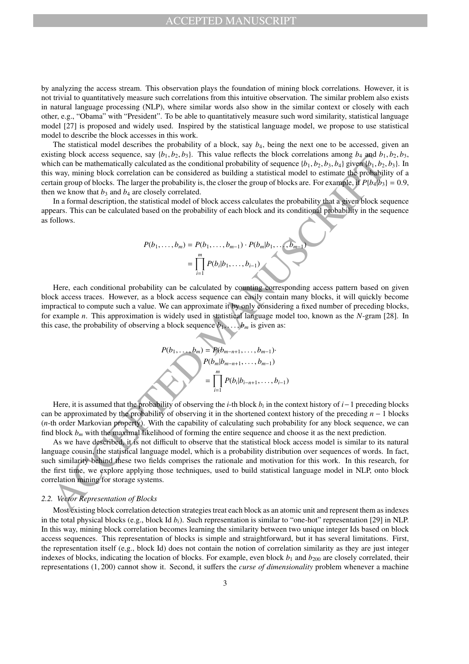# CEPTED MANUSCRIPT

by analyzing the access stream. This observation plays the foundation of mining block correlations. However, it is not trivial to quantitatively measure such correlations from this intuitive observation. The similar problem also exists in natural language processing (NLP), where similar words also show in the similar context or closely with each other, e.g., "Obama" with "President". To be able to quantitatively measure such word similarity, statistical language model [27] is proposed and widely used. Inspired by the statistical language model, we propose to use statistical model to describe the block accesses in this work.

The statistical model describes the probability of a block, say  $b_4$ , being the next one to be accessed, given an existing block access sequence, say  $\{b_1, b_2, b_3\}$ . This value reflects the block correlations among  $b_4$  and  $b_1, b_2, b_3$ , which can be mathematically calculated as the conditional probability of sequence  ${b_1, b_2, b_3, b_4}$  given  ${b_1, b_2, b_3}$ . In this way, mining block correlation can be considered as building a statistical model to estimate the probability of a certain group of blocks. The larger the probability is, the closer the group of blocks are. For example, if  $P{b_4|b_3} = 0.9$ , then we know that  $b_3$  and  $b_4$  are closely correlated.

In a formal description, the statistical model of block access calculates the probability that a given block sequence appears. This can be calculated based on the probability of each block and its conditional probability in the sequence as follows.

$$
P(b_1, ..., b_m) = P(b_1, ..., b_{m-1}) \cdot P(b_m|b_1, ..., b_{m-1})
$$
  
= 
$$
\prod_{i=1}^m P(b_i|b_1, ..., b_{i-1})
$$

Here, each conditional probability can be calculated by counting corresponding access pattern based on given block access traces. However, as a block access sequence can easily contain many blocks, it will quickly become impractical to compute such a value. We can approximate it by only considering a fixed number of preceding blocks, for example *n*. This approximation is widely used in statistical language model too, known as the *N*-gram [28]. In this case, the probability of observing a block sequence  $b_1, \ldots, b_m$  is given as:

$$
P(b_1, \ldots, b_m) = P(b_{m-n+1}, \ldots, b_{m-1})
$$
  
\n
$$
P(b_m|b_{m-n+1}, \ldots, b_{m-1})
$$
  
\n
$$
= \prod_{i=1}^m P(b_i|b_{i-n+1}, \ldots, b_{i-1})
$$

Here, it is assumed that the probability of observing the *i*-th block *b<sup>i</sup>* in the context history of *i*−1 preceding blocks can be approximated by the probability of observing it in the shortened context history of the preceding *n* − 1 blocks (*n*-th order Markovian property). With the capability of calculating such probability for any block sequence, we can find block *b<sup>m</sup>* with the maximal likelihood of forming the entire sequence and choose it as the next prediction.

Since interests sequence. Say the *D*<sub>1</sub>, *D*<sub>1</sub>, *D*<sub>1</sub>, *D*<sub>1</sub>, *D*<sub>1</sub>, *D*<sub>1</sub>, *D*<sub>1</sub>, *D*<sub>1</sub>, *D*<sub>1</sub>, *D*<sub>1</sub>, *D*<sub>1</sub>, *D*<sub>1</sub>, *D*<sub>1</sub>, *D*<sub>1</sub>, *D*<sub>1</sub>, *D*<sub>1</sub>, *D*<sub>1</sub>, *D*<sub>1</sub>, *D*<sub>1</sub>, *D*<sub>1</sub>, *D*<sub>1</sub>, *D*<sub>1</sub>, *D*<sub>1</sub>, *D* As we have described, it is not difficult to observe that the statistical block access model is similar to its natural language cousin, the statistical language model, which is a probability distribution over sequences of words. In fact, such similarity behind these two fields comprises the rationale and motivation for this work. In this research, for the first time, we explore applying those techniques, used to build statistical language model in NLP, onto block correlation mining for storage systems.

# *2.2. Vector Representation of Blocks*

Most existing block correlation detection strategies treat each block as an atomic unit and represent them as indexes in the total physical blocks (e.g., block Id  $b_i$ ). Such representation is similar to "one-hot" representation [29] in NLP. In this way, mining block correlation becomes learning the similarity between two unique integer Ids based on block access sequences. This representation of blocks is simple and straightforward, but it has several limitations. First, the representation itself (e.g., block Id) does not contain the notion of correlation similarity as they are just integer indexes of blocks, indicating the location of blocks. For example, even block  $b_1$  and  $b_{200}$  are closely correlated, their representations (1, 200) cannot show it. Second, it suffers the *curse of dimensionality* problem whenever a machine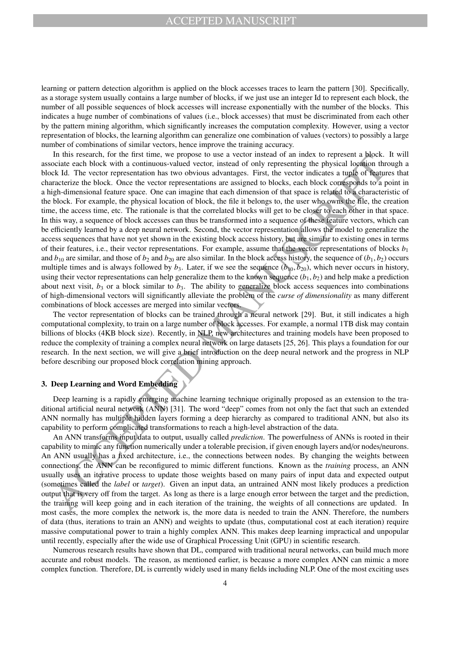learning or pattern detection algorithm is applied on the block accesses traces to learn the pattern [30]. Specifically, as a storage system usually contains a large number of blocks, if we just use an integer Id to represent each block, the number of all possible sequences of block accesses will increase exponentially with the number of the blocks. This indicates a huge number of combinations of values (i.e., block accesses) that must be discriminated from each other by the pattern mining algorithm, which significantly increases the computation complexity. However, using a vector representation of blocks, the learning algorithm can generalize one combination of values (vectors) to possibly a large number of combinations of similar vectors, hence improve the training accuracy.

In un restarcing the train tune, we propose to use a vector misseuro or an most to respect in space.<br>The median of the train tune we propose to the ratif tune of the training the physical bostform. The vector representati In this research, for the first time, we propose to use a vector instead of an index to represent a block. It will associate each block with a continuous-valued vector, instead of only representing the physical location through a block Id. The vector representation has two obvious advantages. First, the vector indicates a tuple of features that characterize the block. Once the vector representations are assigned to blocks, each block corresponds to a point in a high-dimensional feature space. One can imagine that each dimension of that space is related to a characteristic of the block. For example, the physical location of block, the file it belongs to, the user who owns the file, the creation time, the access time, etc. The rationale is that the correlated blocks will get to be closer to each other in that space. In this way, a sequence of block accesses can thus be transformed into a sequence of these feature vectors, which can be efficiently learned by a deep neural network. Second, the vector representation allows the model to generalize the access sequences that have not yet shown in the existing block access history, but are similar to existing ones in terms of their features, i.e., their vector representations. For example, assume that the vector representations of blocks  $b_1$ and  $b_{10}$  are similar, and those of  $b_2$  and  $b_{20}$  are also similar. In the block access history, the sequence of  $(b_1, b_2)$  occurs multiple times and is always followed by  $b_3$ . Later, if we see the sequence  $(b_{10}, b_{20})$ , which never occurs in history, using their vector representations can help generalize them to the known sequence  $(b_1, b_2)$  and help make a prediction about next visit,  $b_3$  or a block similar to  $b_3$ . The ability to generalize block access sequences into combinations of high-dimensional vectors will significantly alleviate the problem of the *curse of dimensionality* as many different combinations of block accesses are merged into similar vectors.

The vector representation of blocks can be trained through a neural network [29]. But, it still indicates a high computational complexity, to train on a large number of block accesses. For example, a normal 1TB disk may contain billions of blocks (4KB block size). Recently, in NLP, new architectures and training models have been proposed to reduce the complexity of training a complex neural network on large datasets [25, 26]. This plays a foundation for our research. In the next section, we will give a brief introduction on the deep neural network and the progress in NLP before describing our proposed block correlation mining approach.

#### **3. Deep Learning and Word Embedding**

Deep learning is a rapidly emerging machine learning technique originally proposed as an extension to the traditional artificial neural network (ANN) [31]. The word "deep" comes from not only the fact that such an extended ANN normally has multiple hidden layers forming a deep hierarchy as compared to traditional ANN, but also its capability to perform complicated transformations to reach a high-level abstraction of the data.

An ANN transforms input data to output, usually called *prediction*. The powerfulness of ANNs is rooted in their capability to mimic any function numerically under a tolerable precision, if given enough layers and/or nodes/neurons. An ANN usually has a fixed architecture, i.e., the connections between nodes. By changing the weights between connections, the ANN can be reconfigured to mimic different functions. Known as the *training* process, an ANN usually uses an iterative process to update those weights based on many pairs of input data and expected output (sometimes called the *label* or *target*). Given an input data, an untrained ANN most likely produces a prediction output that is very off from the target. As long as there is a large enough error between the target and the prediction, the training will keep going and in each iteration of the training, the weights of all connections are updated. In most cases, the more complex the network is, the more data is needed to train the ANN. Therefore, the numbers of data (thus, iterations to train an ANN) and weights to update (thus, computational cost at each iteration) require massive computational power to train a highly complex ANN. This makes deep learning impractical and unpopular until recently, especially after the wide use of Graphical Processing Unit (GPU) in scientific research.

Numerous research results have shown that DL, compared with traditional neural networks, can build much more accurate and robust models. The reason, as mentioned earlier, is because a more complex ANN can mimic a more complex function. Therefore, DL is currently widely used in many fields including NLP. One of the most exciting uses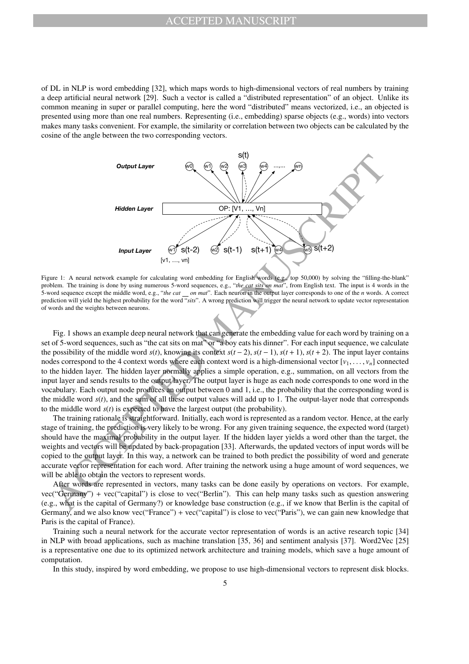of DL in NLP is word embedding [32], which maps words to high-dimensional vectors of real numbers by training a deep artificial neural network [29]. Such a vector is called a "distributed representation" of an object. Unlike its common meaning in super or parallel computing, here the word "distributed" means vectorized, i.e., an objected is presented using more than one real numbers. Representing (i.e., embedding) sparse objects (e.g., words) into vectors makes many tasks convenient. For example, the similarity or correlation between two objects can be calculated by the cosine of the angle between the two corresponding vectors.



Figure 1: A neural network example for calculating word embedding for English words (e.g., top 50,000) by solving the "filling-the-blank" problem. The training is done by using numerous 5-word sequences, e.g., "*the cat sits on mat*", from English text. The input is 4 words in the 5-word sequence except the middle word, e.g., "*the cat on mat*". Each neuron in the output layer corresponds to one of the *n* words. A correct prediction will yield the highest probability for the word "*sits*". A wrong prediction will trigger the neural network to update vector representation of words and the weights between neurons.

Fig. 1 shows an example deep neural network that can generate the embedding value for each word by training on a set of 5-word sequences, such as "the cat sits on mat" or "a boy eats his dinner". For each input sequence, we calculate the possibility of the middle word  $s(t)$ , knowing its context  $s(t-2)$ ,  $s(t-1)$ ,  $s(t+1)$ ,  $s(t+2)$ . The input layer contains nodes correspond to the 4 context words where each context word is a high-dimensional vector  $[v_1, \ldots, v_n]$  connected to the hidden layer. The hidden layer normally applies a simple operation, e.g., summation, on all vectors from the input layer and sends results to the output layer. The output layer is huge as each node corresponds to one word in the vocabulary. Each output node produces an output between 0 and 1, i.e., the probability that the corresponding word is the middle word  $s(t)$ , and the sum of all these output values will add up to 1. The output-layer node that corresponds to the middle word *s*(*t*) is expected to have the largest output (the probability).

The training rationale is straightforward. Initially, each word is represented as a random vector. Hence, at the early stage of training, the prediction is very likely to be wrong. For any given training sequence, the expected word (target) should have the maximal probability in the output layer. If the hidden layer yields a word other than the target, the weights and vectors will be updated by back-propagation [33]. Afterwards, the updated vectors of input words will be copied to the output layer. In this way, a network can be trained to both predict the possibility of word and generate accurate vector representation for each word. After training the network using a huge amount of word sequences, we will be able to obtain the vectors to represent words.

After words are represented in vectors, many tasks can be done easily by operations on vectors. For example, vec("Germany") + vec("capital") is close to vec("Berlin"). This can help many tasks such as question answering (e.g., what is the capital of Germany?) or knowledge base construction (e.g., if we know that Berlin is the capital of Germany, and we also know vec("France") + vec("capital") is close to vec("Paris"), we can gain new knowledge that Paris is the capital of France).

Training such a neural network for the accurate vector representation of words is an active research topic [34] in NLP with broad applications, such as machine translation [35, 36] and sentiment analysis [37]. Word2Vec [25] is a representative one due to its optimized network architecture and training models, which save a huge amount of computation.

In this study, inspired by word embedding, we propose to use high-dimensional vectors to represent disk blocks.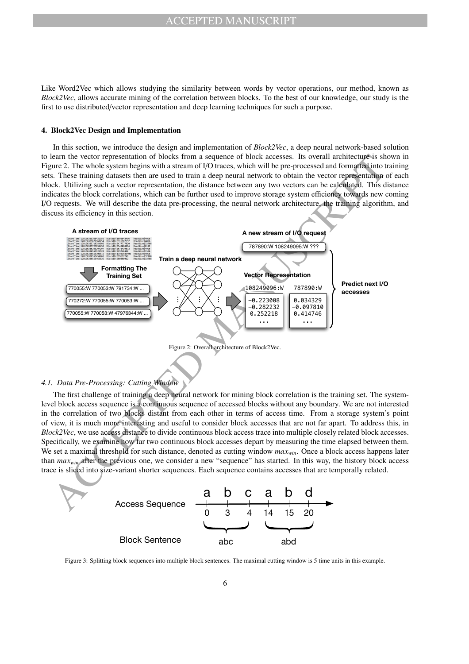Like Word2Vec which allows studying the similarity between words by vector operations, our method, known as *Block2Vec*, allows accurate mining of the correlation between blocks. To the best of our knowledge, our study is the first to use distributed/vector representation and deep learning techniques for such a purpose.

#### **4. Block2Vec Design and Implementation**

In this section, we introduce the design and implementation of *Block2Vec*, a deep neural network-based solution to learn the vector representation of blocks from a sequence of block accesses. Its overall architecture is shown in Figure 2. The whole system begins with a stream of I/O traces, which will be pre-processed and formatted into training sets. These training datasets then are used to train a deep neural network to obtain the vector representation of each block. Utilizing such a vector representation, the distance between any two vectors can be calculated. This distance indicates the block correlations, which can be further used to improve storage system efficiency towards new coming I/O requests. We will describe the data pre-processing, the neural network architecture, the training algorithm, and discuss its efficiency in this section.



Figure 2: Overall architecture of Block2Vec.

#### *4.1. Data Pre-Processing: Cutting Window*

The first challenge of training a deep neural network for mining block correlation is the training set. The systemlevel block access sequence is a continuous sequence of accessed blocks without any boundary. We are not interested in the correlation of two blocks distant from each other in terms of access time. From a storage system's point of view, it is much more interesting and useful to consider block accesses that are not far apart. To address this, in *Block2Vec*, we use access distance to divide continuous block access trace into multiple closely related block accesses. Specifically, we examine how far two continuous block accesses depart by measuring the time elapsed between them. We set a maximal threshold for such distance, denoted as cutting window *maxwin*. Once a block access happens later than *maxwin* after the previous one, we consider a new "sequence" has started. In this way, the history block access trace is sliced into size-variant shorter sequences. Each sequence contains accesses that are temporally related.



Figure 3: Splitting block sequences into multiple block sentences. The maximal cutting window is 5 time units in this example.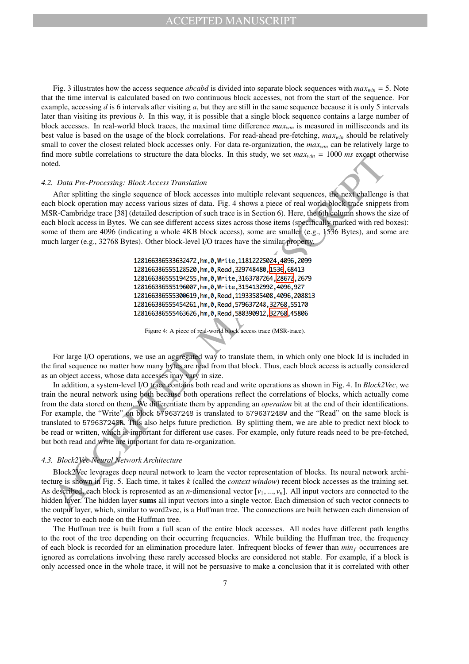Fig. 3 illustrates how the access sequence *abcabd* is divided into separate block sequences with *maxwin* = 5. Note that the time interval is calculated based on two continuous block accesses, not from the start of the sequence. For example, accessing *d* is 6 intervals after visiting *a*, but they are still in the same sequence because it is only 5 intervals later than visiting its previous *b*. In this way, it is possible that a single block sequence contains a large number of block accesses. In real-world block traces, the maximal time difference *maxwin* is measured in milliseconds and its best value is based on the usage of the block correlations. For read-ahead pre-fetching, *maxwin* should be relatively small to cover the closest related block accesses only. For data re-organization, the *maxwin* can be relatively large to find more subtle correlations to structure the data blocks. In this study, we set  $max_{win} = 1000$  ms except otherwise noted.

#### *4.2. Data Pre-Processing: Block Access Translation*

After splitting the single sequence of block accesses into multiple relevant sequences, the next challenge is that each block operation may access various sizes of data. Fig. 4 shows a piece of real world block trace snippets from MSR-Cambridge trace [38] (detailed description of such trace is in Section 6). Here, the 6th column shows the size of each block access in Bytes. We can see different access sizes across those items (specifically marked with red boxes): some of them are 4096 (indicating a whole 4KB block access), some are smaller (e.g., 1536 Bytes), and some are much larger (e.g., 32768 Bytes). Other block-level I/O traces have the similar property.

Figure 4: A piece of real-world block access trace (MSR-trace).

For large I/O operations, we use an aggregated way to translate them, in which only one block Id is included in the final sequence no matter how many bytes are read from that block. Thus, each block access is actually considered as an object access, whose data accesses may vary in size.

nters sure correlations to structure the onta tolocks. If this surely, we set *mat<sub>eari</sub>* = 1000 *m*s except on<br>
ACCE *Due Pre-Processing: Block Access Translation*<br>
ACCE *Due Pre-Processing: Block Access Translation*<br>
AC In addition, a system-level I/O trace contains both read and write operations as shown in Fig. 4. In *Block2Vec*, we train the neural network using both because both operations reflect the correlations of blocks, which actually come from the data stored on them. We differentiate them by appending an *operation* bit at the end of their identifications. For example, the "Write" on block 579637248 is translated to 579637248W and the "Read" on the same block is translated to 579637248R. This also helps future prediction. By splitting them, we are able to predict next block to be read or written, which is important for different use cases. For example, only future reads need to be pre-fetched, but both read and write are important for data re-organization.

# *4.3. Block2Vec Neural Network Architecture*

Block2Vec leverages deep neural network to learn the vector representation of blocks. Its neural network architecture is shown in Fig. 5. Each time, it takes *k* (called the *context window*) recent block accesses as the training set. As described, each block is represented as an *n*-dimensional vector  $[v_1, ..., v_n]$ . All input vectors are connected to the hidden layer. The hidden layer **sums** all input vectors into a single vector. Each dimension of such vector connects to the output layer, which, similar to word2vec, is a Huffman tree. The connections are built between each dimension of the vector to each node on the Huffman tree.

The Huffman tree is built from a full scan of the entire block accesses. All nodes have different path lengths to the root of the tree depending on their occurring frequencies. While building the Huffman tree, the frequency of each block is recorded for an elimination procedure later. Infrequent blocks of fewer than *min<sup>f</sup>* occurrences are ignored as correlations involving these rarely accessed blocks are considered not stable. For example, if a block is only accessed once in the whole trace, it will not be persuasive to make a conclusion that it is correlated with other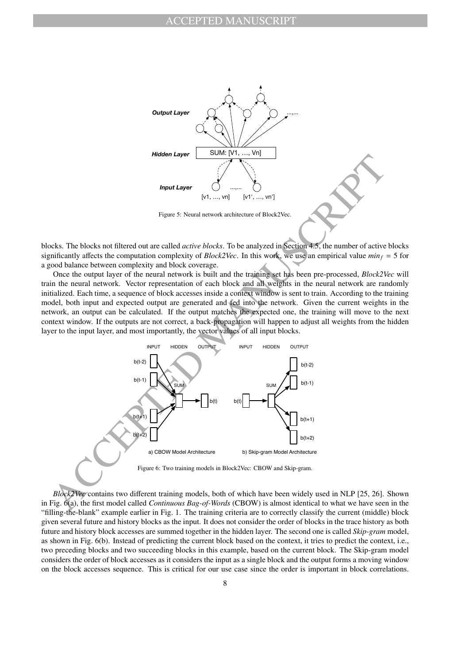

blocks. The blocks not filtered out are called *active blocks*. To be analyzed in Section 4.5, the number of active blocks significantly affects the computation complexity of *Block2Vec*. In this work, we use an empirical value  $min_f = 5$  for a good balance between complexity and block coverage.

Once the output layer of the neural network is built and the training set has been pre-processed, *Block2Vec* will train the neural network. Vector representation of each block and all weights in the neural network are randomly initialized. Each time, a sequence of block accesses inside a context window is sent to train. According to the training model, both input and expected output are generated and fed into the network. Given the current weights in the network, an output can be calculated. If the output matches the expected one, the training will move to the next context window. If the outputs are not correct, a back-propagation will happen to adjust all weights from the hidden layer to the input layer, and most importantly, the vector values of all input blocks.



*Block2Vec* contains two different training models, both of which have been widely used in NLP [25, 26]. Shown in Fig. 6(a), the first model called *Continuous Bag-of-Words* (CBOW) is almost identical to what we have seen in the "filling-the-blank" example earlier in Fig. 1. The training criteria are to correctly classify the current (middle) block given several future and history blocks as the input. It does not consider the order of blocks in the trace history as both future and history block accesses are summed together in the hidden layer. The second one is called *Skip-gram* model, as shown in Fig. 6(b). Instead of predicting the current block based on the context, it tries to predict the context, i.e., two preceding blocks and two succeeding blocks in this example, based on the current block. The Skip-gram model considers the order of block accesses as it considers the input as a single block and the output forms a moving window on the block accesses sequence. This is critical for our use case since the order is important in block correlations.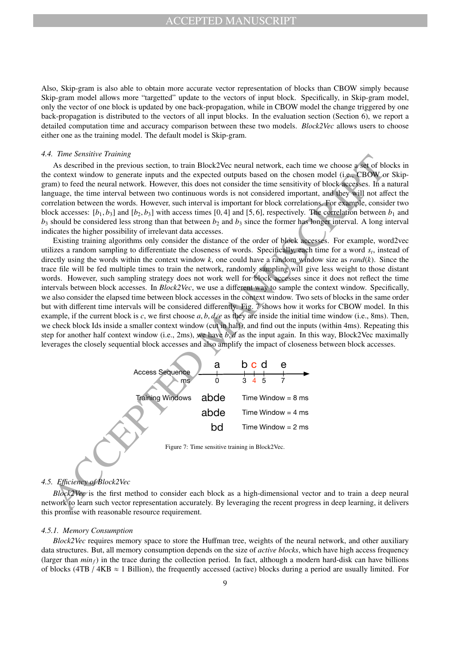Also, Skip-gram is also able to obtain more accurate vector representation of blocks than CBOW simply because Skip-gram model allows more "targetted" update to the vectors of input block. Specifically, in Skip-gram model, only the vector of one block is updated by one back-propagation, while in CBOW model the change triggered by one back-propagation is distributed to the vectors of all input blocks. In the evaluation section (Section 6), we report a detailed computation time and accuracy comparison between these two models. *Block2Vec* allows users to choose either one as the training model. The default model is Skip-gram.

#### *4.4. Time Sensitive Training*

As described in the previous section, to train Block2Vec neural network, each time we choose a set of blocks in the context window to generate inputs and the expected outputs based on the chosen model (i.e., CBOW or Skipgram) to feed the neural network. However, this does not consider the time sensitivity of block accesses. In a natural language, the time interval between two continuous words is not considered important, and they will not affect the correlation between the words. However, such interval is important for block correlations. For example, consider two block accesses:  $[b_1, b_3]$  and  $[b_2, b_3]$  with access times  $[0, 4]$  and  $[5, 6]$ , respectively. The correlation between  $b_1$  and  $b_3$  should be considered less strong than that between  $b_2$  and  $b_3$  since the former has longer interval. A long interval indicates the higher possibility of irrelevant data accesses.

For someone training the method. Someone the properties and the expected of the conservation of the accelered of the conservation of the conservation of the conservation of the conservation of the conservation of the cons Existing training algorithms only consider the distance of the order of block accesses. For example, word2vec utilizes a random sampling to differentiate the closeness of words. Specifically, each time for a word *s<sup>t</sup>* , instead of directly using the words within the context window *k*, one could have a random window size as *rand*(*k*). Since the trace file will be fed multiple times to train the network, randomly sampling will give less weight to those distant words. However, such sampling strategy does not work well for block accesses since it does not reflect the time intervals between block accesses. In *Block2Vec*, we use a different way to sample the context window. Specifically, we also consider the elapsed time between block accesses in the context window. Two sets of blocks in the same order but with different time intervals will be considered differently. Fig. 7 shows how it works for CBOW model. In this example, if the current block is *c*, we first choose *a*, *b*, *d*, *e* as they are inside the initial time window (i.e., 8ms). Then, we check block Ids inside a smaller context window (cut in half), and find out the inputs (within 4ms). Repeating this step for another half context window (i.e., 2ms), we have *b*, *d* as the input again. In this way, Block2Vec maximally leverages the closely sequential block accesses and also amplify the impact of closeness between block accesses.

| <b>Access Sequence</b>  | a    | b c d     |                      |
|-------------------------|------|-----------|----------------------|
| ms                      |      | 34<br>- 5 |                      |
| <b>Training Windows</b> | abde |           | Time Window $= 8$ ms |
|                         | abde |           | Time Window $=$ 4 ms |
|                         | hd   |           | Time Window $= 2$ ms |
|                         |      |           |                      |

Figure 7: Time sensitive training in Block2Vec.

# *4.5. E*ffi*ciency of Block2Vec*

*Block2Vec* is the first method to consider each block as a high-dimensional vector and to train a deep neural network to learn such vector representation accurately. By leveraging the recent progress in deep learning, it delivers this promise with reasonable resource requirement.

#### *4.5.1. Memory Consumption*

*Block2Vec* requires memory space to store the Huffman tree, weights of the neural network, and other auxiliary data structures. But, all memory consumption depends on the size of *active blocks*, which have high access frequency (larger than  $min_f$ ) in the trace during the collection period. In fact, although a modern hard-disk can have billions of blocks (4TB / 4KB  $\approx$  1 Billion), the frequently accessed (active) blocks during a period are usually limited. For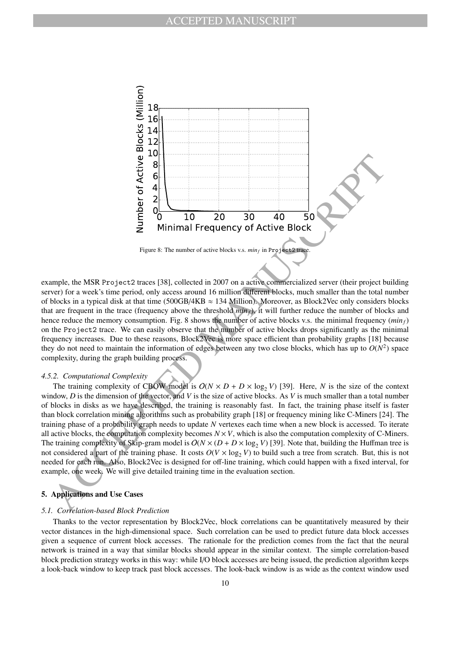

example, the MSR Project2 traces [38], collected in 2007 on a active commercialized server (their project building server) for a week's time period, only access around 16 million different blocks, much smaller than the total number of blocks in a typical disk at that time  $(500GB/4KB \approx 134$  Million). Moreover, as Block2Vec only considers blocks that are frequent in the trace (frequency above the threshold *minf*), it will further reduce the number of blocks and hence reduce the memory consumption. Fig. 8 shows the number of active blocks v.s. the minimal frequency  $(min_f)$ on the Project2 trace. We can easily observe that the number of active blocks drops significantly as the minimal frequency increases. Due to these reasons, Block2Vec is more space efficient than probability graphs [18] because they do not need to maintain the information of edges between any two close blocks, which has up to  $O(N^2)$  space complexity, during the graph building process.

#### *4.5.2. Computational Complexity*

 $\frac{9}{56}$ <br>  $\frac{2}{56}$ <br>  $\frac{2}{56}$ <br>  $\frac{2}{56}$ <br>  $\frac{2}{56}$ <br>  $\frac{2}{56}$ <br>  $\frac{2}{56}$ <br>  $\frac{2}{56}$ <br>  $\frac{2}{56}$ <br>  $\frac{2}{56}$ <br>  $\frac{2}{56}$ <br>  $\frac{2}{56}$ <br>  $\frac{2}{56}$ <br>  $\frac{2}{56}$ <br>  $\frac{2}{56}$ <br>  $\frac{2}{56}$ <br>  $\frac{2}{56}$ <br>  $\frac{2}{56}$ <br>  $\frac{2$ The training complexity of CBOW model is  $O(N \times D + D \times \log_2 V)$  [39]. Here, *N* is the size of the context window, *D* is the dimension of the vector, and *V* is the size of active blocks. As *V* is much smaller than a total number of blocks in disks as we have described, the training is reasonably fast. In fact, the training phase itself is faster than block correlation mining algorithms such as probability graph [18] or frequency mining like C-Miners [24]. The training phase of a probability graph needs to update *N* vertexes each time when a new block is accessed. To iterate all active blocks, the computation complexity becomes  $N \times V$ , which is also the computation complexity of C-Miners. The training complexity of Skip-gram model is  $O(N \times (D + D \times \log_2 V)$  [39]. Note that, building the Huffman tree is not considered a part of the training phase. It costs  $O(V \times \log_2 V)$  to build such a tree from scratch. But, this is not needed for each run. Also, Block2Vec is designed for off-line training, which could happen with a fixed interval, for example, one week. We will give detailed training time in the evaluation section.

## **5. Applications and Use Cases**

#### *5.1. Correlation-based Block Prediction*

Thanks to the vector representation by Block2Vec, block correlations can be quantitatively measured by their vector distances in the high-dimensional space. Such correlation can be used to predict future data block accesses given a sequence of current block accesses. The rationale for the prediction comes from the fact that the neural network is trained in a way that similar blocks should appear in the similar context. The simple correlation-based block prediction strategy works in this way: while I/O block accesses are being issued, the prediction algorithm keeps a look-back window to keep track past block accesses. The look-back window is as wide as the context window used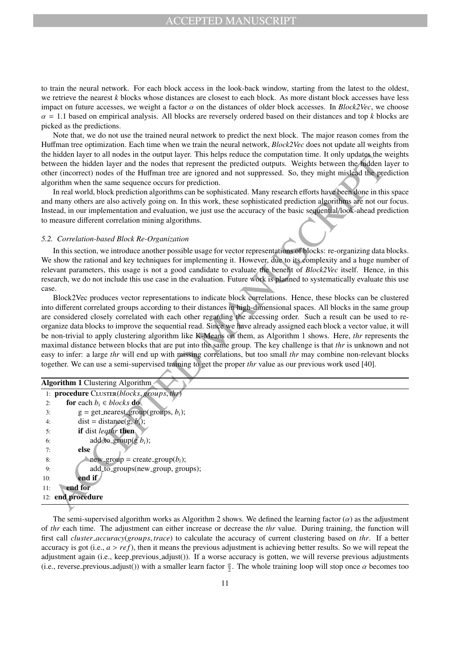to train the neural network. For each block access in the look-back window, starting from the latest to the oldest, we retrieve the nearest *k* blocks whose distances are closest to each block. As more distant block accesses have less impact on future accesses, we weight a factor  $\alpha$  on the distances of older block accesses. In *Block2Vec*, we choose  $\alpha = 1.1$  based on empirical analysis. All blocks are reversely ordered based on their distances and top  $k$  blocks are picked as the predictions.

Note that, we do not use the trained neural network to predict the next block. The major reason comes from the Huffman tree optimization. Each time when we train the neural network, *Block2Vec* does not update all weights from the hidden layer to all nodes in the output layer. This helps reduce the computation time. It only updates the weights between the hidden layer and the nodes that represent the predicted outputs. Weights between the hidden layer to other (incorrect) nodes of the Huffman tree are ignored and not suppressed. So, they might mislead the prediction algorithm when the same sequence occurs for prediction.

In real world, block prediction algorithms can be sophisticated. Many research efforts have been done in this space and many others are also actively going on. In this work, these sophisticated prediction algorithms are not our focus. Instead, in our implementation and evaluation, we just use the accuracy of the basic sequential/look-ahead prediction to measure different correlation mining algorithms.

#### *5.2. Correlation-based Block Re-Organization*

In this section, we introduce another possible usage for vector representations of blocks: re-organizing data blocks. We show the rational and key techniques for implementing it. However, due to its complexity and a huge number of relevant parameters, this usage is not a good candidate to evaluate the benefit of *Block2Vec* itself. Hence, in this research, we do not include this use case in the evaluation. Future work is planned to systematically evaluate this use case.

means are not mores an use coupled at the state and the proposition are. It can use a mean that the proposition of the state and the proposition of the state and the state and the state and the state and the state and the Block2Vec produces vector representations to indicate block correlations. Hence, these blocks can be clustered into different correlated groups according to their distances in high-dimensional spaces. All blocks in the same group are considered closely correlated with each other regarding the accessing order. Such a result can be used to reorganize data blocks to improve the sequential read. Since we have already assigned each block a vector value, it will be non-trivial to apply clustering algorithm like K-Means on them, as Algorithm 1 shows. Here, *thr* represents the maximal distance between blocks that are put into the same group. The key challenge is that *thr* is unknown and not easy to infer: a large *thr* will end up with missing correlations, but too small *thr* may combine non-relevant blocks together. We can use a semi-supervised training to get the proper *thr* value as our previous work used [40].

| <b>Algorithm 1</b> Clustering Algorithm |  |  |  |
|-----------------------------------------|--|--|--|
|-----------------------------------------|--|--|--|

|     | 1: <b>procedure</b> $\text{C\textsc{L}\textsc{u}s}$ (blocks, groups, thr) |
|-----|---------------------------------------------------------------------------|
| 2:  | <b>for</b> each $b_i \in blocks$ <b>do</b>                                |
| 3:  | $g = get\_nearest\_group(groups, b_i);$                                   |
| 4:  | $dist = distance(g, bi)$ ;                                                |
| 5:  | if dist <i>leqthr</i> then                                                |
| 6:  | add_to_group(g $b_i$ );                                                   |
| 7:  | else                                                                      |
| 8:  | new_group = create_group( $b_i$ );                                        |
| 9:  | add_to_groups(new_group, groups);                                         |
| 10: | end if                                                                    |
| 11: | end for                                                                   |
|     | 12: end procedure                                                         |

The semi-supervised algorithm works as Algorithm 2 shows. We defined the learning factor  $(\alpha)$  as the adjustment of *thr* each time. The adjustment can either increase or decrease the *thr* value. During training, the function will first call *cluster accuracy*(*groups*, *trace*) to calculate the accuracy of current clustering based on *thr*. If a better accuracy is got (i.e.,  $a > ref$ ), then it means the previous adjustment is achieving better results. So we will repeat the adjustment again (i.e., keep previous adjust()). If a worse accuracy is gotten, we will reverse previous adjustments (i.e., reverse<sub>-</sub>previous<sub>-adjust()) with a smaller learn factor  $\frac{\alpha}{2}$ . The whole training loop will stop once  $\alpha$  becomes too</sub>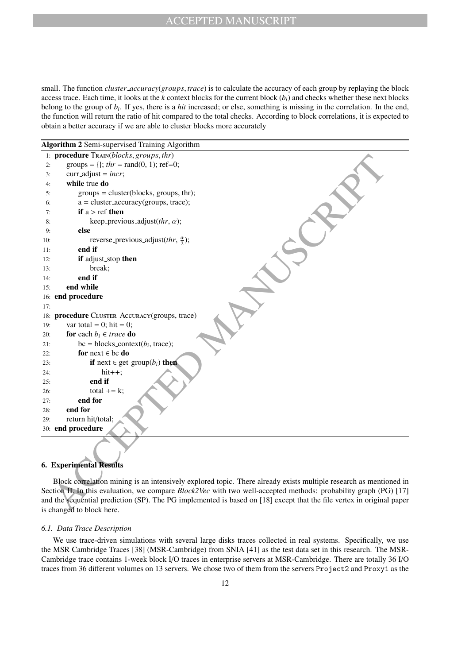small. The function *cluster accuracy*(*groups*, *trace*) is to calculate the accuracy of each group by replaying the block access trace. Each time, it looks at the  $k$  context blocks for the current block  $(b_i)$  and checks whether these next blocks belong to the group of  $b_i$ . If yes, there is a *hit* increased; or else, something is missing in the correlation. In the end, the function will return the ratio of hit compared to the total checks. According to block correlations, it is expected to obtain a better accuracy if we are able to cluster blocks more accurately

| Algorithm 2 Semi-supervised Training Algorithm                                                                          |
|-------------------------------------------------------------------------------------------------------------------------|
| 1: procedure TRAIN(blocks, groups, thr)                                                                                 |
| groups = {}; $thr = \text{rand}(0, 1)$ ; ref=0;<br>2:                                                                   |
| curr_adjust = $incr$ ;<br>3:                                                                                            |
| while true do<br>4:                                                                                                     |
| $groups = cluster(blocks, groups, thr);$<br>5:                                                                          |
| $a = cluster_{accuracy}(groups, trace);$<br>6:                                                                          |
| if $a > ref$ then<br>7:                                                                                                 |
| keep_previous_adjust(thr, $\alpha$ );<br>8:                                                                             |
| else<br>9:                                                                                                              |
| reverse_previous_adjust(thr, $\frac{\alpha}{2}$ );<br>10:                                                               |
| end if<br>11:                                                                                                           |
| if adjust_stop then<br>12:                                                                                              |
| break;<br>13:                                                                                                           |
| end if<br>14:                                                                                                           |
| end while<br>15:                                                                                                        |
| 16: end procedure                                                                                                       |
| 17:                                                                                                                     |
| 18: procedure CLUSTER_ACCURACY(groups, trace)                                                                           |
| var total = 0; hit = 0;<br>19:                                                                                          |
| <b>for</b> each $b_i \in trace$ <b>do</b><br>20:                                                                        |
| bc = blocks_context( $b_i$ , trace);<br>21:                                                                             |
| for $next \in bc$ do<br>22:                                                                                             |
| if next $\in$ get_group( $b_i$ ) then<br>23:                                                                            |
| $hit++;$<br>24:                                                                                                         |
| end if<br>25:                                                                                                           |
| total $+= k;$<br>26:                                                                                                    |
| end for<br>27:                                                                                                          |
| end for<br>28:                                                                                                          |
| return hit/total;<br>29:                                                                                                |
| 30: end procedure                                                                                                       |
|                                                                                                                         |
| <b>6. Experimental Results</b>                                                                                          |
| Block correlation mining is an intensively explored topic. There already exists multiple research as mentioned in       |
| Section II. In this evaluation, we compare <i>Block2Vec</i> with two well-accepted methods: probability graph (PG) [17] |
| and the sequential prediction (SP). The PG implemented is based on [18] except that the file vertex in original paper   |
| is changed to block here.                                                                                               |
|                                                                                                                         |

## **6. Experimental Results**

#### *6.1. Data Trace Description*

We use trace-driven simulations with several large disks traces collected in real systems. Specifically, we use the MSR Cambridge Traces [38] (MSR-Cambridge) from SNIA [41] as the test data set in this research. The MSR-Cambridge trace contains 1-week block I/O traces in enterprise servers at MSR-Cambridge. There are totally 36 I/O traces from 36 different volumes on 13 servers. We chose two of them from the servers Project2 and Proxy1 as the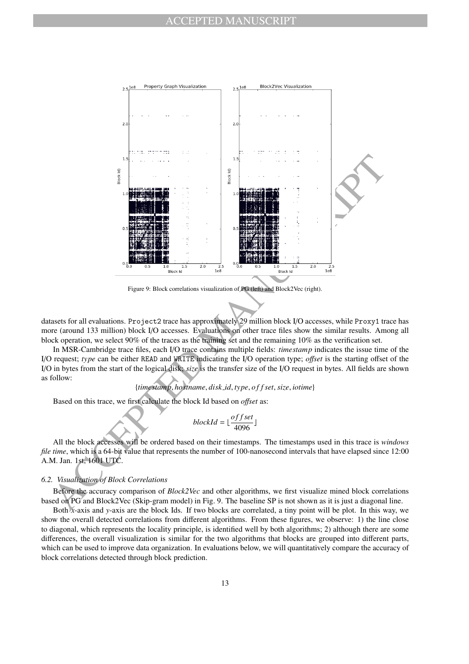

Figure 9: Block correlations visualization of PG (left) and Block2Vec (right).

datasets for all evaluations. Project2 trace has approximately 29 million block I/O accesses, while Proxy1 trace has more (around 133 million) block I/O accesses. Evaluations on other trace files show the similar results. Among all block operation, we select 90% of the traces as the training set and the remaining 10% as the verification set.

In MSR-Cambridge trace files, each I/O trace contains multiple fields: *timestamp* indicates the issue time of the I/O request; *type* can be either READ and WRITE indicating the I/O operation type; *o*ff*set* is the starting offset of the I/O in bytes from the start of the logical disk; *size* is the transfer size of the I/O request in bytes. All fields are shown as follow:

{*timestamp*, *hostname*, *disk id*, *type*, *o f f set*, *size*, *iotime*}

Based on this trace, we first calculate the block Id based on *o*ff*set* as:

$$
blockId = \lfloor \frac{offset}{4096} \rfloor
$$

All the block accesses will be ordered based on their timestamps. The timestamps used in this trace is *windows file time*, which is a 64-bit value that represents the number of 100-nanosecond intervals that have elapsed since 12:00 A.M. Jan. 1st, 1601 UTC.

#### *6.2. Visualization of Block Correlations*

Before the accuracy comparison of *Block2Vec* and other algorithms, we first visualize mined block correlations based on PG and Block2Vec (Skip-gram model) in Fig. 9. The baseline SP is not shown as it is just a diagonal line.

Both *x*-axis and *y*-axis are the block Ids. If two blocks are correlated, a tiny point will be plot. In this way, we show the overall detected correlations from different algorithms. From these figures, we observe: 1) the line close to diagonal, which represents the locality principle, is identified well by both algorithms; 2) although there are some differences, the overall visualization is similar for the two algorithms that blocks are grouped into different parts, which can be used to improve data organization. In evaluations below, we will quantitatively compare the accuracy of block correlations detected through block prediction.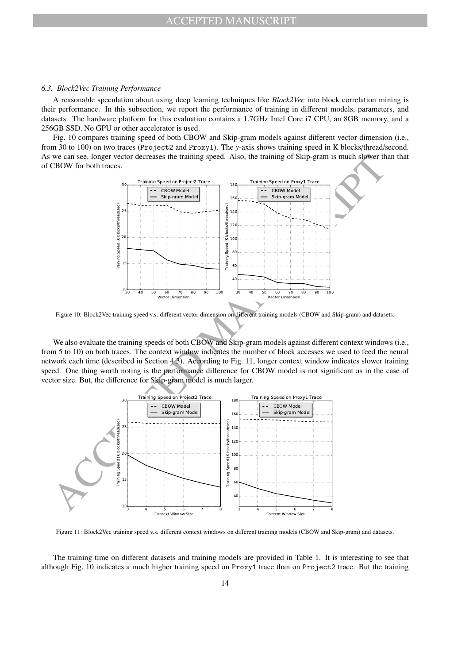#### *6.3. Block2Vec Training Performance*

A reasonable speculation about using deep learning techniques like *Block2Vec* into block correlation mining is their performance. In this subsection, we report the performance of training in different models, parameters, and datasets. The hardware platform for this evaluation contains a 1.7GHz Intel Core i7 CPU, an 8GB memory, and a 256GB SSD. No GPU or other accelerator is used.

Fig. 10 compares training speed of both CBOW and Skip-gram models against different vector dimension (i.e., from 30 to 100) on two traces (Project2 and Proxy1). The *y*-axis shows training speed in K blocks/thread/second. As we can see, longer vector decreases the training speed. Also, the training of Skip-gram is much slower than that of CBOW for both traces.



Figure 10: Block2Vec training speed v.s. different vector dimension on different training models (CBOW and Skip-gram) and datasets.

We also evaluate the training speeds of both CBOW and Skip-gram models against different context windows (i.e., from 5 to 10) on both traces. The context window indicates the number of block accesses we used to feed the neural network each time (described in Section 4.3). According to Fig. 11, longer context window indicates slower training speed. One thing worth noting is the performance difference for CBOW model is not significant as in the case of vector size. But, the difference for Skip-gram model is much larger.



Figure 11: Block2Vec training speed v.s. different context windows on different training models (CBOW and Skip-gram) and datasets.

The training time on different datasets and training models are provided in Table 1. It is interesting to see that although Fig. 10 indicates a much higher training speed on Proxy1 trace than on Project2 trace. But the training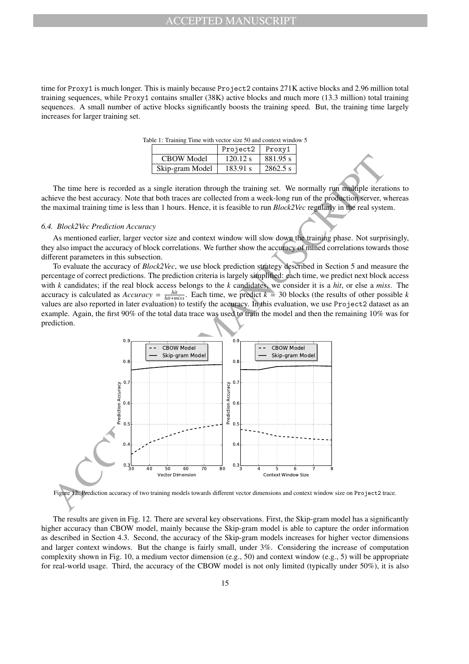time for Proxy1 is much longer. This is mainly because Project2 contains 271K active blocks and 2.96 million total training sequences, while Proxy1 contains smaller (38K) active blocks and much more (13.3 million) total training sequences. A small number of active blocks significantly boosts the training speed. But, the training time largely increases for larger training set.

Table 1: Training Time with vector size 50 and context window 5

 $P_{\text{meas}}$ 

|                   | LINGCAS   LINYAI |          |
|-------------------|------------------|----------|
| <b>CBOW Model</b> | $120.12$ s       | 881.95 s |
| Skip-gram Model   | 183.91 s         | 2862.5 s |

The time here is recorded as a single iteration through the training set. We normally run multiple iterations to achieve the best accuracy. Note that both traces are collected from a week-long run of the production server, whereas the maximal training time is less than 1 hours. Hence, it is feasible to run *Block2Vec* regularly in the real system.

#### *6.4. Block2Vec Prediction Accuracy*

As mentioned earlier, larger vector size and context window will slow down the training phase. Not surprisingly, they also impact the accuracy of block correlations. We further show the accuracy of mined correlations towards those different parameters in this subsection.

To evaluate the accuracy of *Block2Vec*, we use block prediction strategy described in Section 5 and measure the percentage of correct predictions. The prediction criteria is largely simplified: each time, we predict next block access with *k* candidates; if the real block access belongs to the *k* candidates, we consider it is a *hit*, or else a *miss*. The accuracy is calculated as  $Accuracy = \frac{hit}{hit + miss}$ . Each time, we predict  $k = 30$  blocks (the results of other possible *k* values are also reported in later evaluation) to testify the accuracy. In this evaluation, we use Project2 dataset as an example. Again, the first 90% of the total data trace was used to train the model and then the remaining 10% was for prediction.



Figure 12: Prediction accuracy of two training models towards different vector dimensions and context window size on Project2 trace.

The results are given in Fig. 12. There are several key observations. First, the Skip-gram model has a significantly higher accuracy than CBOW model, mainly because the Skip-gram model is able to capture the order information as described in Section 4.3. Second, the accuracy of the Skip-gram models increases for higher vector dimensions and larger context windows. But the change is fairly small, under 3%. Considering the increase of computation complexity shown in Fig. 10, a medium vector dimension  $(e.g., 50)$  and context window  $(e.g., 5)$  will be appropriate for real-world usage. Third, the accuracy of the CBOW model is not only limited (typically under 50%), it is also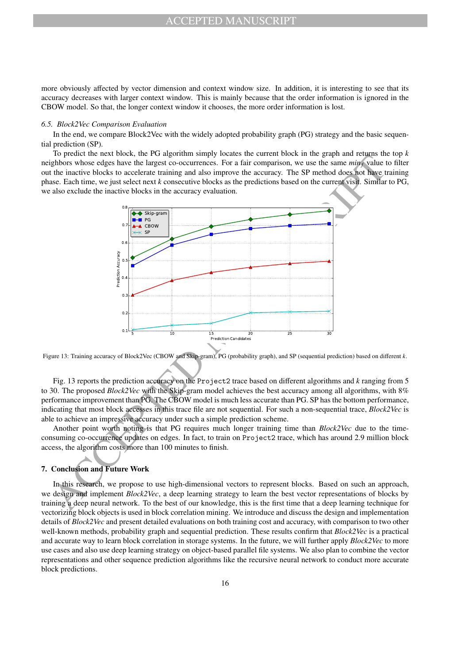more obviously affected by vector dimension and context window size. In addition, it is interesting to see that its accuracy decreases with larger context window. This is mainly because that the order information is ignored in the CBOW model. So that, the longer context window it chooses, the more order information is lost.

#### *6.5. Block2Vec Comparison Evaluation*

In the end, we compare Block2Vec with the widely adopted probability graph (PG) strategy and the basic sequential prediction (SP).

To predict the next block, the PG algorithm simply locates the current block in the graph and returns the top *k* neighbors whose edges have the largest co-occurrences. For a fair comparison, we use the same *min<sup>f</sup>* value to filter out the inactive blocks to accelerate training and also improve the accuracy. The SP method does not have training phase. Each time, we just select next *k* consecutive blocks as the predictions based on the current visit. Similar to PG, we also exclude the inactive blocks in the accuracy evaluation.



Figure 13: Training accuracy of Block2Vec (CBOW and Skip-gram), PG (probability graph), and SP (sequential prediction) based on different *k*.

Fig. 13 reports the prediction accuracy on the Project2 trace based on different algorithms and *k* ranging from 5 to 30. The proposed *Block2Vec* with the Skip-gram model achieves the best accuracy among all algorithms, with 8% performance improvement than PG. The CBOW model is much less accurate than PG. SP has the bottom performance, indicating that most block accesses in this trace file are not sequential. For such a non-sequential trace, *Block2Vec* is able to achieve an impressive accuracy under such a simple prediction scheme.

Another point worth noting is that PG requires much longer training time than *Block2Vec* due to the timeconsuming co-occurrence updates on edges. In fact, to train on Project2 trace, which has around 2.9 million block access, the algorithm costs more than 100 minutes to finish.

## **7. Conclusion and Future Work**

In this research, we propose to use high-dimensional vectors to represent blocks. Based on such an approach, we design and implement *Block2Vec*, a deep learning strategy to learn the best vector representations of blocks by training a deep neural network. To the best of our knowledge, this is the first time that a deep learning technique for vectorizing block objects is used in block correlation mining. We introduce and discuss the design and implementation details of *Block2Vec* and present detailed evaluations on both training cost and accuracy, with comparison to two other well-known methods, probability graph and sequential prediction. These results confirm that *Block2Vec* is a practical and accurate way to learn block correlation in storage systems. In the future, we will further apply *Block2Vec* to more use cases and also use deep learning strategy on object-based parallel file systems. We also plan to combine the vector representations and other sequence prediction algorithms like the recursive neural network to conduct more accurate block predictions.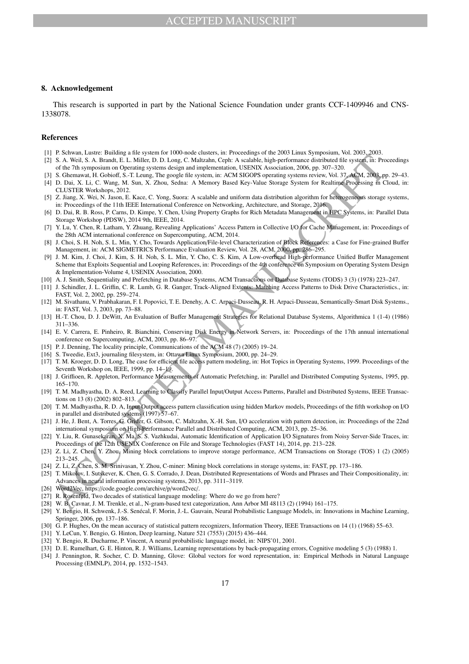#### **8. Acknowledgement**

This research is supported in part by the National Science Foundation under grants CCF-1409946 and CNS-1338078.

#### **References**

- [1] P. Schwan, Lustre: Building a file system for 1000-node clusters, in: Proceedings of the 2003 Linux Symposium, Vol. 2003, 2003.
- [2] S. A. Weil, S. A. Brandt, E. L. Miller, D. D. Long, C. Maltzahn, Ceph: A scalable, high-performance distributed file system, in: Proceedings of the 7th symposium on Operating systems design and implementation, USENIX Association, 2006, pp. 307–320.
- [3] S. Ghemawat, H. Gobioff, S.-T. Leung, The google file system, in: ACM SIGOPS operating systems review, Vol. 37, ACM, 2003, pp. 29–43. [4] D. Dai, X. Li, C. Wang, M. Sun, X. Zhou, Sedna: A Memory Based Key-Value Storage System for Realtime Processing in Cloud, in: CLUSTER Workshops, 2012.
- [5] Z. Jiang, X. Wei, N. Jason, E. Kace, C. Yong, Suora: A scalable and uniform data distribution algorithm for heterogeneous storage systems, in: Proceedings of the 11th IEEE International Conference on Networking, Architecture, and Storage, 2016.
- [6] D. Dai, R. B. Ross, P. Carns, D. Kimpe, Y. Chen, Using Property Graphs for Rich Metadata Management in HPC Systems, in: Parallel Data Storage Workshop (PDSW), 2014 9th, IEEE, 2014.
- [7] Y. Lu, Y. Chen, R. Latham, Y. Zhuang, Revealing Applications' Access Pattern in Collective I/O for Cache Management, in: Proceedings of the 28th ACM international conference on Supercomputing, ACM, 2014.
- [8] J. Choi, S. H. Noh, S. L. Min, Y. Cho, Towards Application/File-level Characterization of Block References: a Case for Fine-grained Buffer Management, in: ACM SIGMETRICS Performance Evaluation Review, Vol. 28, ACM, 2000, pp. 286–295.
- S. A. Weil, S.A. Hutel, E. A. Note that is the set of the set of the set of the set of the set of the set of the set of the set of the set of the set of the set of the set of the set of the set of the set of the set of th [9] J. M. Kim, J. Choi, J. Kim, S. H. Noh, S. L. Min, Y. Cho, C. S. Kim, A Low-overhead High-performance Unified Buffer Management Scheme that Exploits Sequential and Looping References, in: Proceedings of the 4th conference on Symposium on Operating System Design & Implementation-Volume 4, USENIX Association, 2000.
- [10] A. J. Smith, Sequentiality and Prefetching in Database Systems, ACM Transactions on Database Systems (TODS) 3 (3) (1978) 223–247.
- [11] J. Schindler, J. L. Griffin, C. R. Lumb, G. R. Ganger, Track-Aligned Extents: Matching Access Patterns to Disk Drive Characteristics., in: FAST, Vol. 2, 2002, pp. 259–274.
- [12] M. Sivathanu, V. Prabhakaran, F. I. Popovici, T. E. Denehy, A. C. Arpaci-Dusseau, R. H. Arpaci-Dusseau, Semantically-Smart Disk Systems., in: FAST, Vol. 3, 2003, pp. 73–88.
- [13] H.-T. Chou, D. J. DeWitt, An Evaluation of Buffer Management Strategies for Relational Database Systems, Algorithmica 1 (1-4) (1986) 311–336.
- [14] E. V. Carrera, E. Pinheiro, R. Bianchini, Conserving Disk Energy in Network Servers, in: Proceedings of the 17th annual international conference on Supercomputing, ACM, 2003, pp. 86–97.
- [15] P. J. Denning, The locality principle, Communications of the ACM 48 (7) (2005) 19–24.
- [16] S. Tweedie, Ext3, journaling filesystem, in: Ottawa Linux Symposium, 2000, pp. 24–29.
- [17] T. M. Kroeger, D. D. Long, The case for efficient file access pattern modeling, in: Hot Topics in Operating Systems, 1999. Proceedings of the Seventh Workshop on, IEEE, 1999, pp. 14–19.
- [18] J. Griffioen, R. Appleton, Performance Measurements of Automatic Prefetching, in: Parallel and Distributed Computing Systems, 1995, pp. 165–170.
- [19] T. M. Madhyastha, D. A. Reed, Learning to Classify Parallel Input/Output Access Patterns, Parallel and Distributed Systems, IEEE Transactions on 13 (8) (2002) 802–813.
- [20] T. M. Madhyastha, R. D. A, Input Output access pattern classification using hidden Markov models, Proceedings of the fifth workshop on I/O in parallel and distributed systems (1997) 57–67.
- [21] J. He, J. Bent, A. Torres, G. Grider, G. Gibson, C. Maltzahn, X.-H. Sun, I/O acceleration with pattern detection, in: Proceedings of the 22nd international symposium on High-Performance Parallel and Distributed Computing, ACM, 2013, pp. 25–36.
- [22] Y. Liu, R. Gunasekaran, X. Ma, S. S. Vazhkudai, Automatic Identification of Application I/O Signatures from Noisy Server-Side Traces, in: Proceedings of the 12th USENIX Conference on File and Storage Technologies (FAST 14), 2014, pp. 213–228.
- [23] Z. Li, Z. Chen, Y. Zhou, Mining block correlations to improve storage performance, ACM Transactions on Storage (TOS) 1 (2) (2005) 213–245.
- [24] Z. Li, Z. Chen, S. M. Srinivasan, Y. Zhou, C-miner: Mining block correlations in storage systems, in: FAST, pp. 173–186.
- [25] T. Mikolov, I. Sutskever, K. Chen, G. S. Corrado, J. Dean, Distributed Representations of Words and Phrases and Their Compositionality, in: Advances in neural information processing systems, 2013, pp. 3111–3119.
- [26] Word2Vec, https://code.google.com/archive/p/word2vec/.
- [27] R. Rosenfeld, Two decades of statistical language modeling: Where do we go from here?
- [28] W. B. Cavnar, J. M. Trenkle, et al., N-gram-based text categorization, Ann Arbor MI 48113 (2) (1994) 161–175.
- [29] Y. Bengio, H. Schwenk, J.-S. Senécal, F. Morin, J.-L. Gauvain, Neural Probabilistic Language Models, in: Innovations in Machine Learning, Springer, 2006, pp. 137–186.
- [30] G. P. Hughes, On the mean accuracy of statistical pattern recognizers, Information Theory, IEEE Transactions on 14 (1) (1968) 55–63.
- [31] Y. LeCun, Y. Bengio, G. Hinton, Deep learning, Nature 521 (7553) (2015) 436–444.
- [32] Y. Bengio, R. Ducharme, P. Vincent, A neural probabilistic language model, in: NIPS'01, 2001.
- [33] D. E. Rumelhart, G. E. Hinton, R. J. Williams, Learning representations by back-propagating errors, Cognitive modeling 5 (3) (1988) 1.
- [34] J. Pennington, R. Socher, C. D. Manning, Glove: Global vectors for word representation, in: Empirical Methods in Natural Language Processing (EMNLP), 2014, pp. 1532–1543.